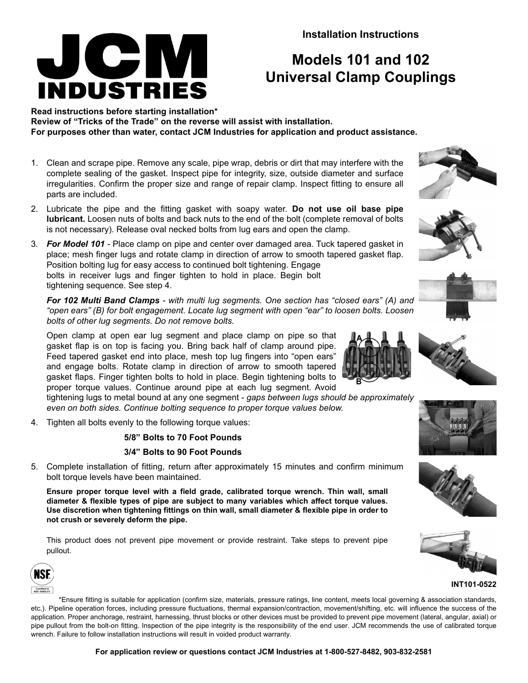**Installation Instructions**

## **Models 101 and 102 Universal Clamp Couplings**

**Read instructions before starting installation\* Review of "Tricks of the Trade" on the reverse will assist with installation. For purposes other than water, contact JCM Industries for application and product assistance.**

- 1. Clean and scrape pipe. Remove any scale, pipe wrap, debris or dirt that may interfere with the complete sealing of the gasket. Inspect pipe for integrity, size, outside diameter and surface irregularities. Confirm the proper size and range of repair clamp. Inspect fitting to ensure all parts are included.
- 2. Lubricate the pipe and the fitting gasket with soapy water. **Do not use oil base pipe lubricant.** Loosen nuts of bolts and back nuts to the end of the bolt (complete removal of bolts is not necessary). Release oval necked bolts from lug ears and open the clamp.
- 3*. For Model 101* Place clamp on pipe and center over damaged area. Tuck tapered gasket in place; mesh finger lugs and rotate clamp in direction of arrow to smooth tapered gasket flap. Position bolting lug for easy access to continued bolt tightening. Engage bolts in receiver lugs and finger tighten to hold in place. Begin bolt tightening sequence. See step 4.

*For 102 Multi Band Clamps - with multi lug segments. One section has "closed ears" (A) and "open ears" (B) for bolt engagement. Locate lug segment with open "ear" to loosen bolts. Loosen bolts of other lug segments. Do not remove bolts.*

Open clamp at open ear lug segment and place clamp on pipe so that gasket flap is on top is facing you. Bring back half of clamp around pipe. Feed tapered gasket end into place, mesh top lug fingers into "open ears" and engage bolts. Rotate clamp in direction of arrow to smooth tapered gasket flaps. Finger tighten bolts to hold in place. Begin tightening bolts to proper torque values. Continue around pipe at each lug segment. Avoid

tightening lugs to metal bound at any one segment - *gaps between lugs should be approximately even on both sides. Continue bolting sequence to proper torque values below.*

4. Tighten all bolts evenly to the following torque values:

JCIV

**INDUSTRIES** 

### **5/8" Bolts to 70 Foot Pounds**

### **3/4" Bolts to 90 Foot Pounds**

5. Complete installation of fitting, return after approximately 15 minutes and confirm minimum bolt torque levels have been maintained.

**Ensure proper torque level with a field grade, calibrated torque wrench. Thin wall, small diameter & flexible types of pipe are subject to many variables which affect torque values. Use discretion when tightening fittings on thin wall, small diameter & flexible pipe in order to not crush or severely deform the pipe.**

This product does not prevent pipe movement or provide restraint. Take steps to prevent pipe pullout.



\*Ensure fitting is suitable for application (confirm size, materials, pressure ratings, line content, meets local governing & association standards, etc.). Pipeline operation forces, including pressure fluctuations, thermal expansion/contraction, movement/shifting, etc. will influence the success of the application. Proper anchorage, restraint, harnessing, thrust blocks or other devices must be provided to prevent pipe movement (lateral, angular, axial) or pipe pullout from the bolt-on fitting. Inspection of the pipe integrity is the responsibility of the end user. JCM recommends the use of calibrated torque wrench. Failure to follow installation instructions will result in voided product warranty.









**INT101-0522**